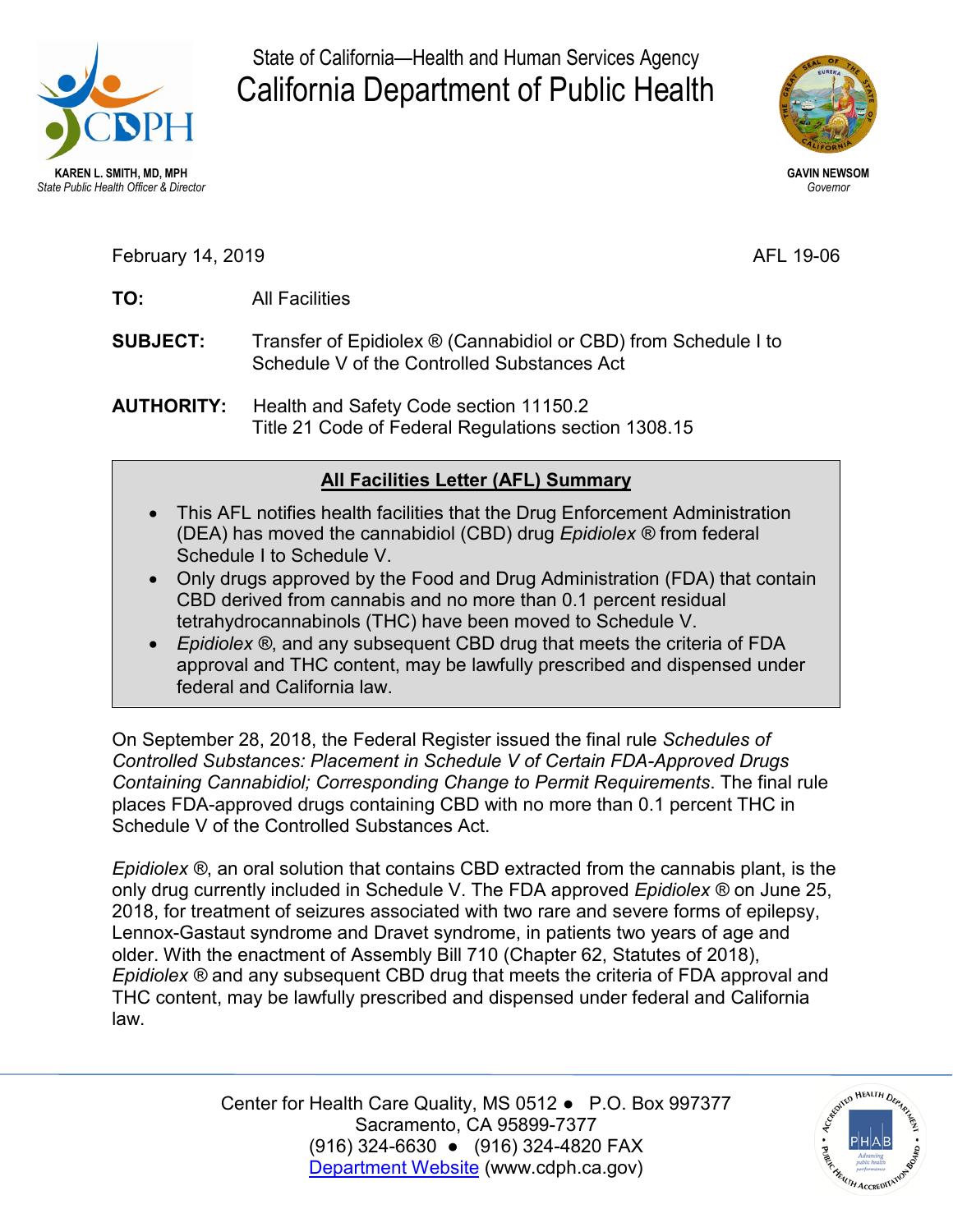

State of California—Health and Human Services Agency California Department of Public Health



February 14, 2019 **AFL 19-06** 

- TO: **TO:** All Facilities
- **SUBJECT:** Transfer of Epidiolex ® (Cannabidiol or CBD) from Schedule I to Schedule V of the Controlled Substances Act
- **AUTHORITY:** Health and Safety Code section 11150.2 Title 21 Code of Federal Regulations section 1308.15

## **All Facilities Letter (AFL) Summary**

- This AFL notifies health facilities that the Drug Enforcement Administration (DEA) has moved the cannabidiol (CBD) drug *Epidiolex ®* from federal Schedule I to Schedule V.
- Only drugs approved by the Food and Drug Administration (FDA) that contain CBD derived from cannabis and no more than 0.1 percent residual tetrahydrocannabinols (THC) have been moved to Schedule V.
- • *Epidiolex ®*, and any subsequent CBD drug that meets the criteria of FDA approval and THC content, may be lawfully prescribed and dispensed under federal and California law.

 Schedule V of the Controlled Substances Act. On September 28, 2018, the Federal Register issued the final rule *Schedules of Controlled Substances: Placement in Schedule V of Certain FDA-Approved Drugs Containing Cannabidiol; Corresponding Change to Permit Requirements*. The final rule places FDA-approved drugs containing CBD with no more than 0.1 percent THC in

 *Epidiolex ®*, an oral solution that contains CBD extracted from the cannabis plant, is the only drug currently included in Schedule V. The FDA approved *Epidiolex ®* on June 25, 2018, for treatment of seizures associated with two rare and severe forms of epilepsy, *Epidiolex ®* and any subsequent CBD drug that meets the criteria of FDA approval and Lennox-Gastaut syndrome and Dravet syndrome, in patients two years of age and older. With the enactment of Assembly Bill 710 (Chapter 62, Statutes of 2018), THC content, may be lawfully prescribed and dispensed under federal and California law.

> Center for Health Care Quality, MS 0512 ● P.O. Box 997377 (916) 324-6630 ● (916) 324-4820 FAX Sacramento, CA 95899-7377 [Department Website](http://www.cdph.ca.gov/) [\(www.cdph.ca.gov](www.cdph.ca.gov))